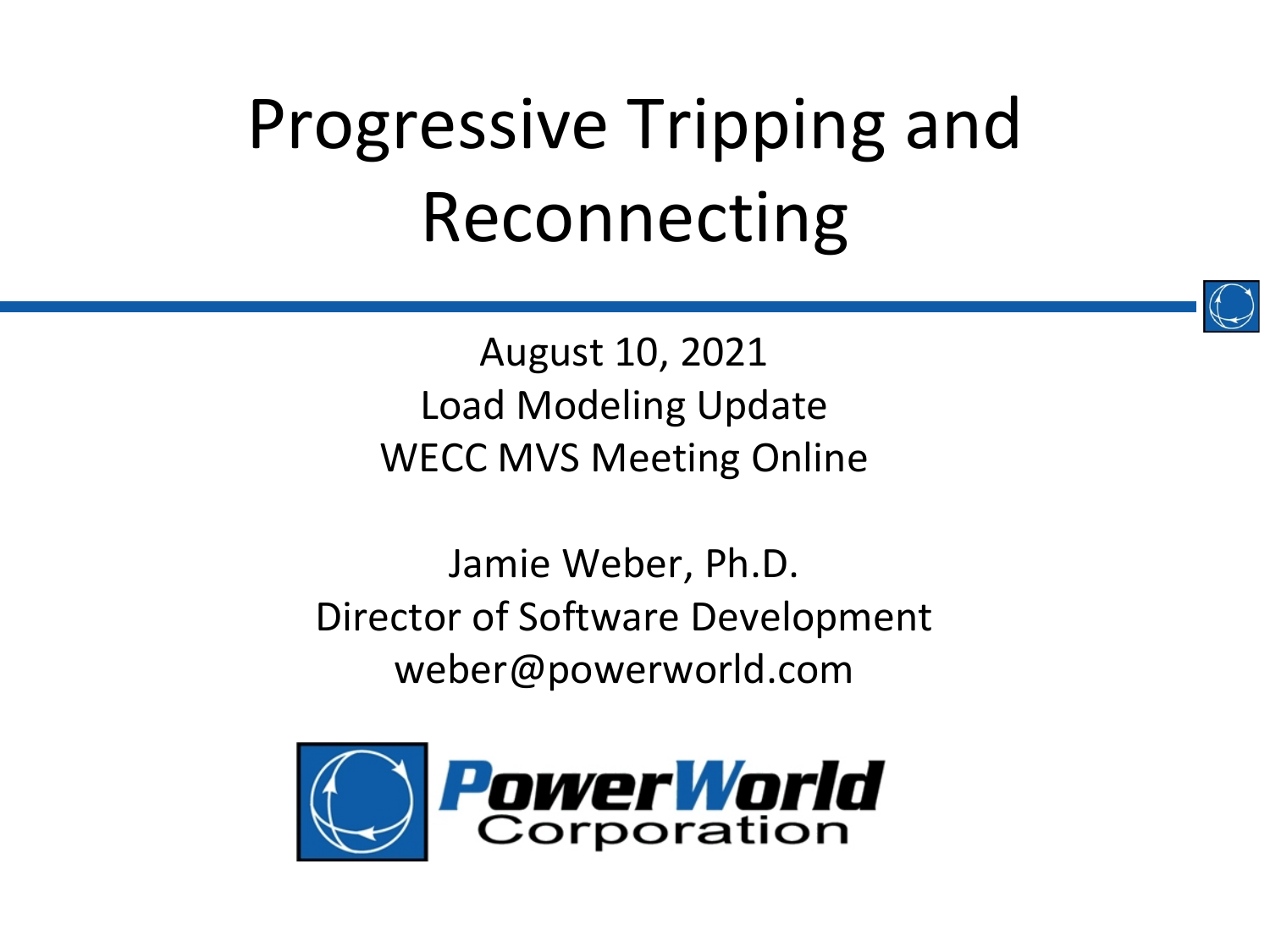

August 10, 2021 Load Modeling Update WECC MVS Meeting Online

Jamie Weber, Ph.D. Director of Software Development weber@powerworld.com

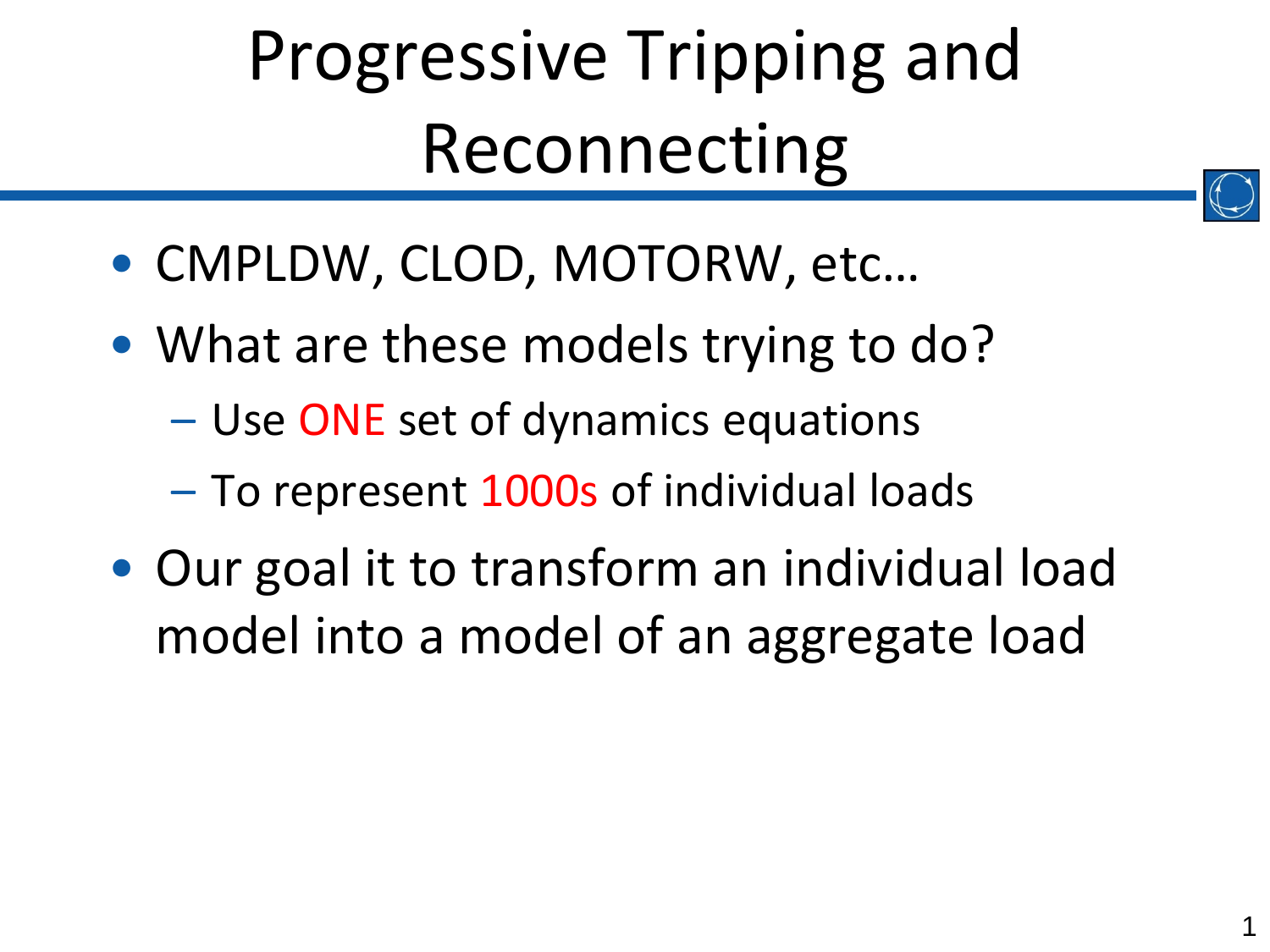- CMPLDW, CLOD, MOTORW, etc…
- What are these models trying to do?
	- Use ONE set of dynamics equations
	- To represent 1000s of individual loads
- Our goal it to transform an individual load model into a model of an aggregate load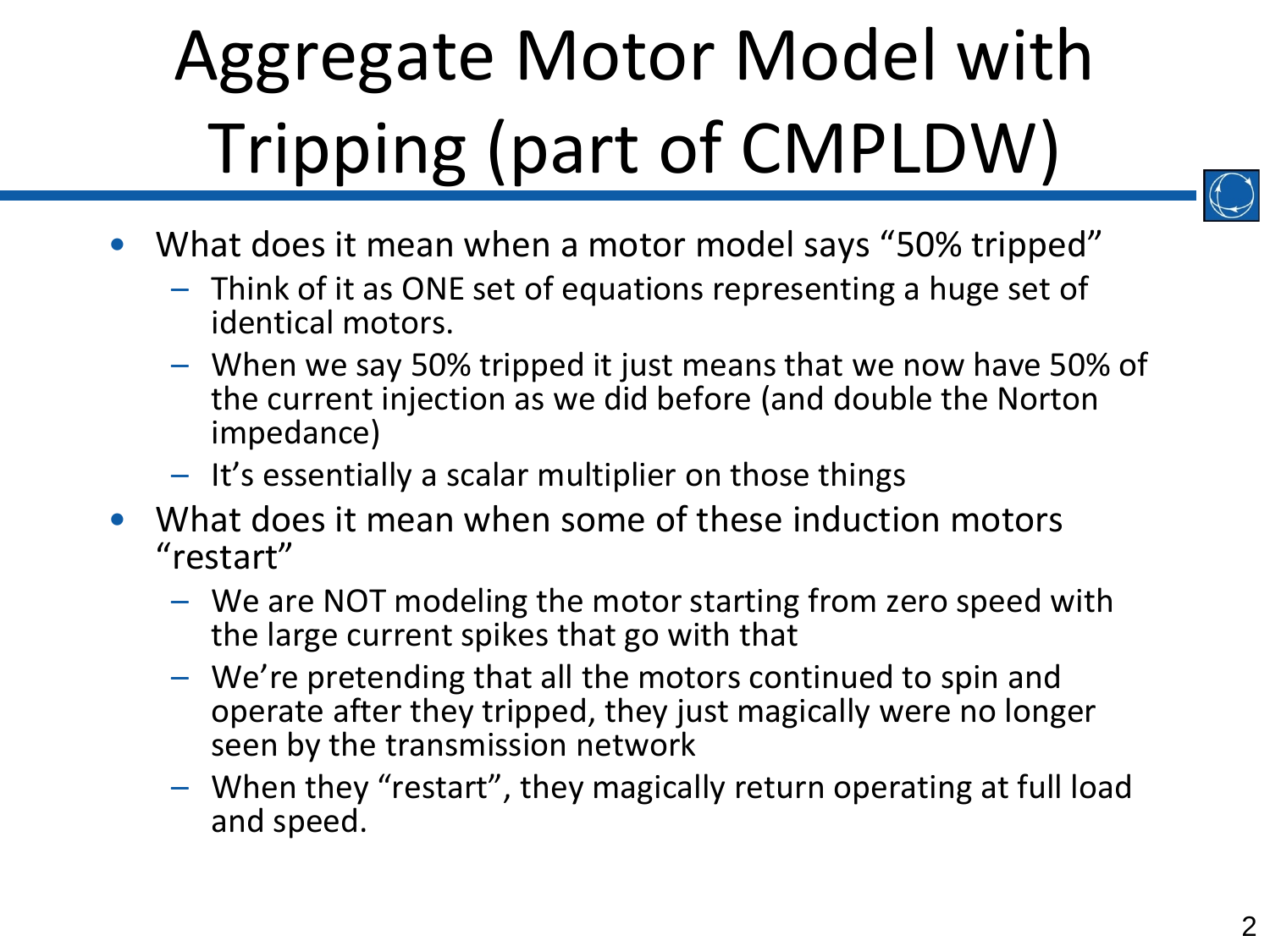# Aggregate Motor Model with Tripping (part of CMPLDW)



- What does it mean when a motor model says "50% tripped"
	- Think of it as ONE set of equations representing a huge set of identical motors.
	- When we say 50% tripped it just means that we now have 50% of the current injection as we did before (and double the Norton impedance)
	- It's essentially a scalar multiplier on those things
- What does it mean when some of these induction motors "restart"
	- We are NOT modeling the motor starting from zero speed with the large current spikes that go with that
	- We're pretending that all the motors continued to spin and operate after they tripped, they just magically were no longer seen by the transmission network
	- When they "restart", they magically return operating at full load and speed.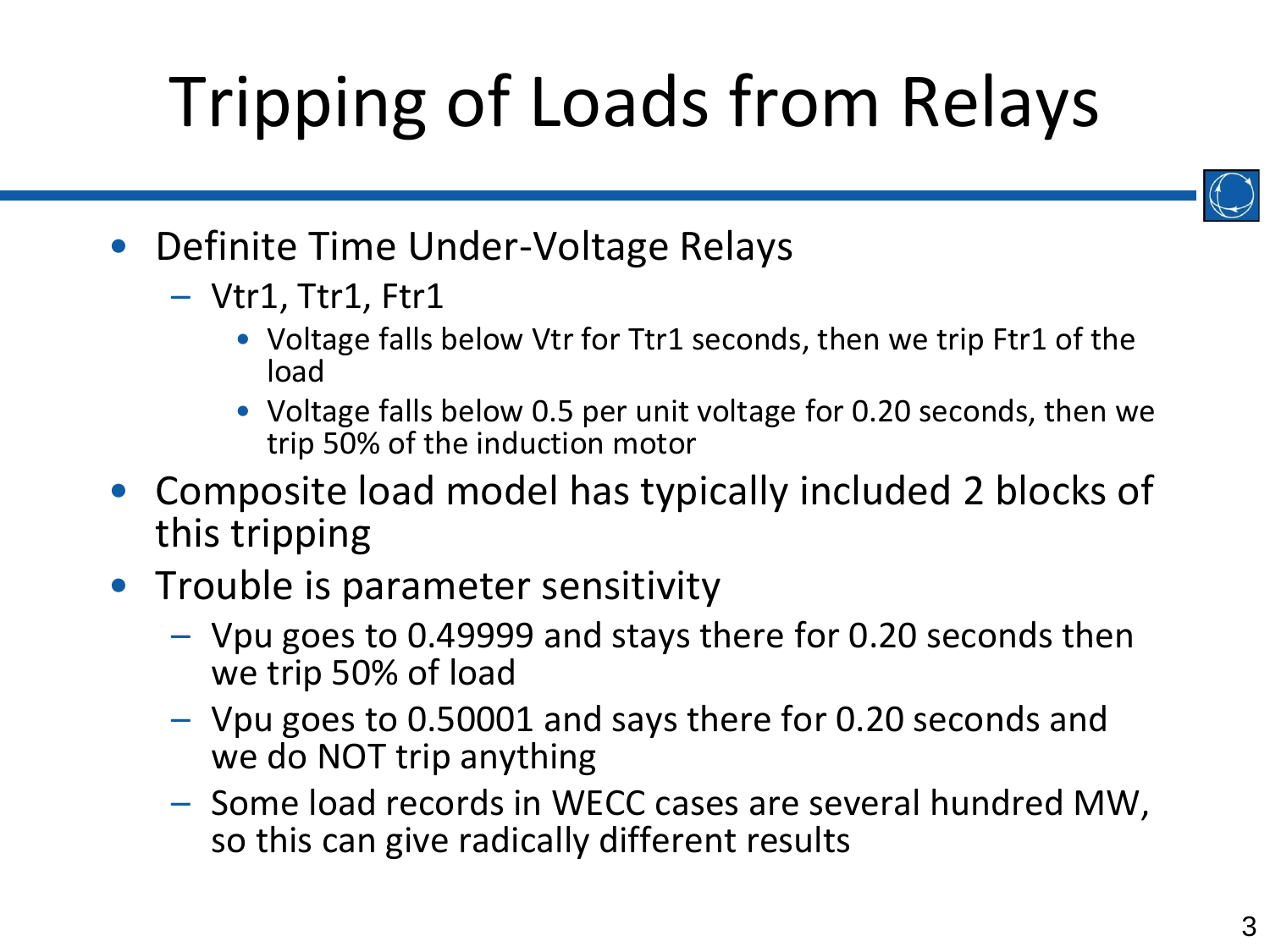# Tripping of Loads from Relays



- Definite Time Under-Voltage Relays
	- Vtr1, Ttr1, Ftr1
		- Voltage falls below Vtr for Ttr1 seconds, then we trip Ftr1 of the load
		- Voltage falls below 0.5 per unit voltage for 0.20 seconds, then we trip 50% of the induction motor
- Composite load model has typically included 2 blocks of this tripping
- Trouble is parameter sensitivity
	- Vpu goes to 0.49999 and stays there for 0.20 seconds then we trip 50% of load
	- Vpu goes to 0.50001 and says there for 0.20 seconds and we do NOT trip anything
	- Some load records in WECC cases are several hundred MW, so this can give radically different results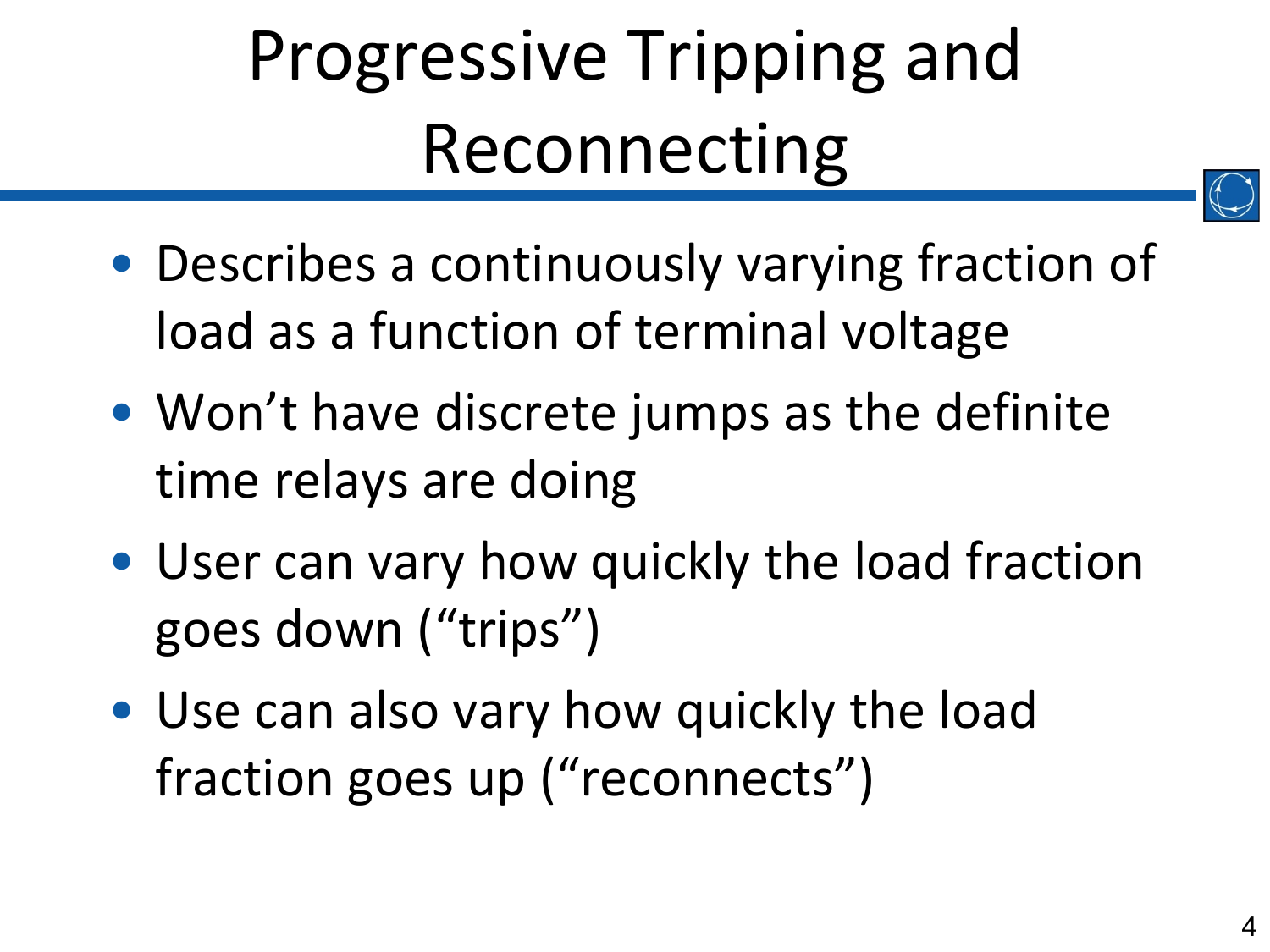- Describes a continuously varying fraction of load as a function of terminal voltage
- Won't have discrete jumps as the definite time relays are doing
- User can vary how quickly the load fraction goes down ("trips")
- Use can also vary how quickly the load fraction goes up ("reconnects")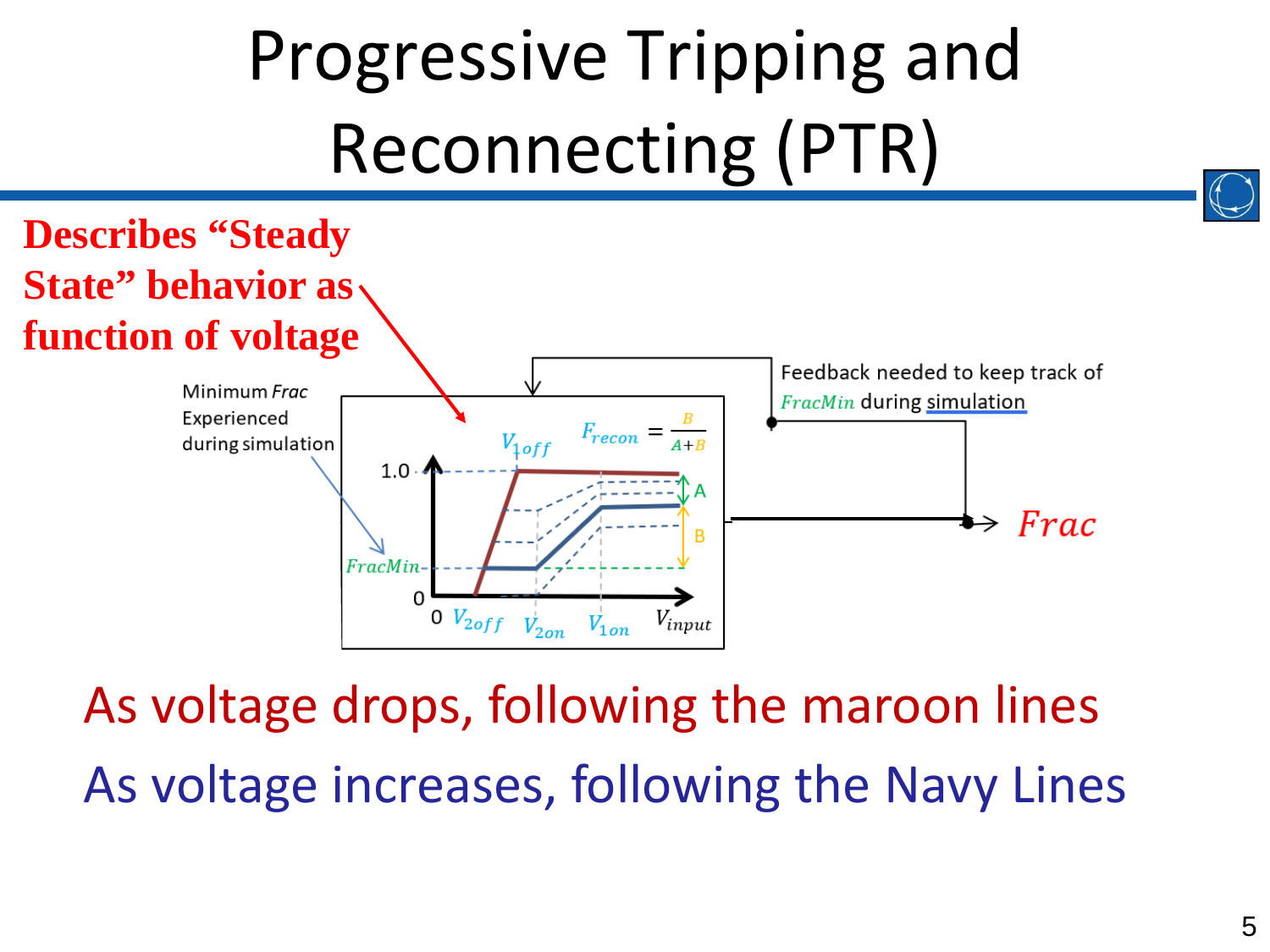

As voltage drops, following the maroon lines As voltage increases, following the Navy Lines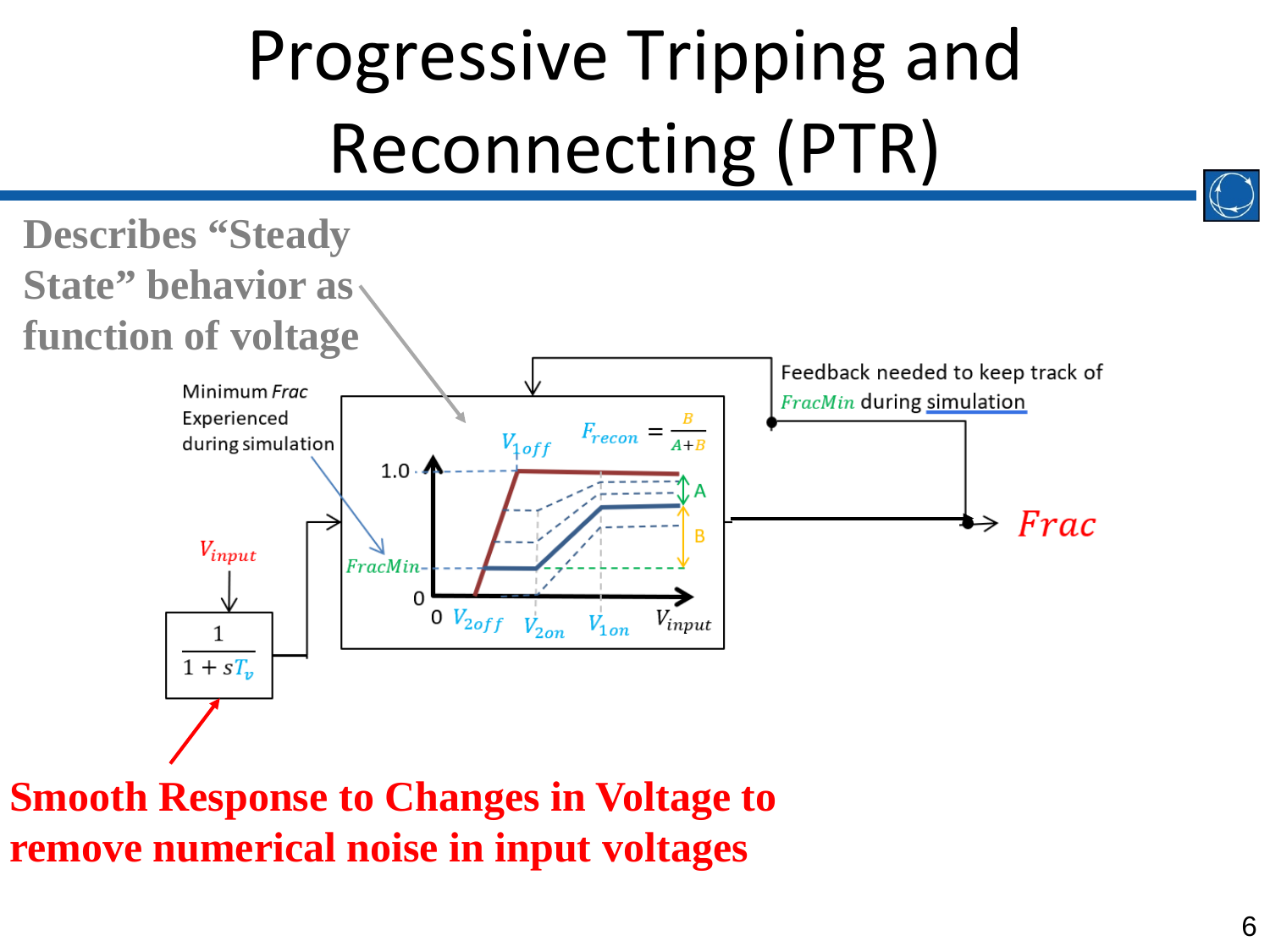

**Smooth Response to Changes in Voltage to remove numerical noise in input voltages**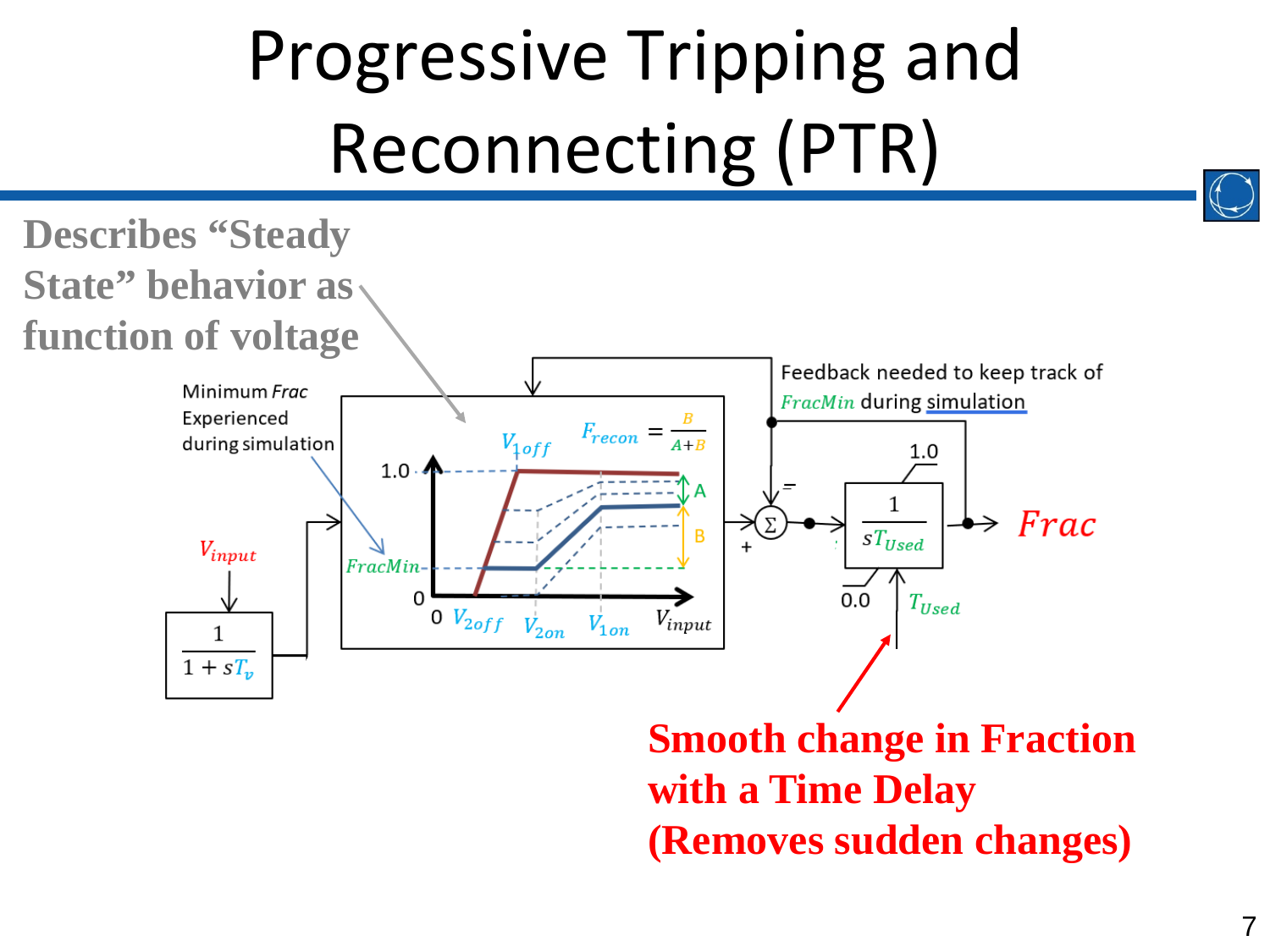

**Smooth change in Fraction with a Time Delay (Removes sudden changes)**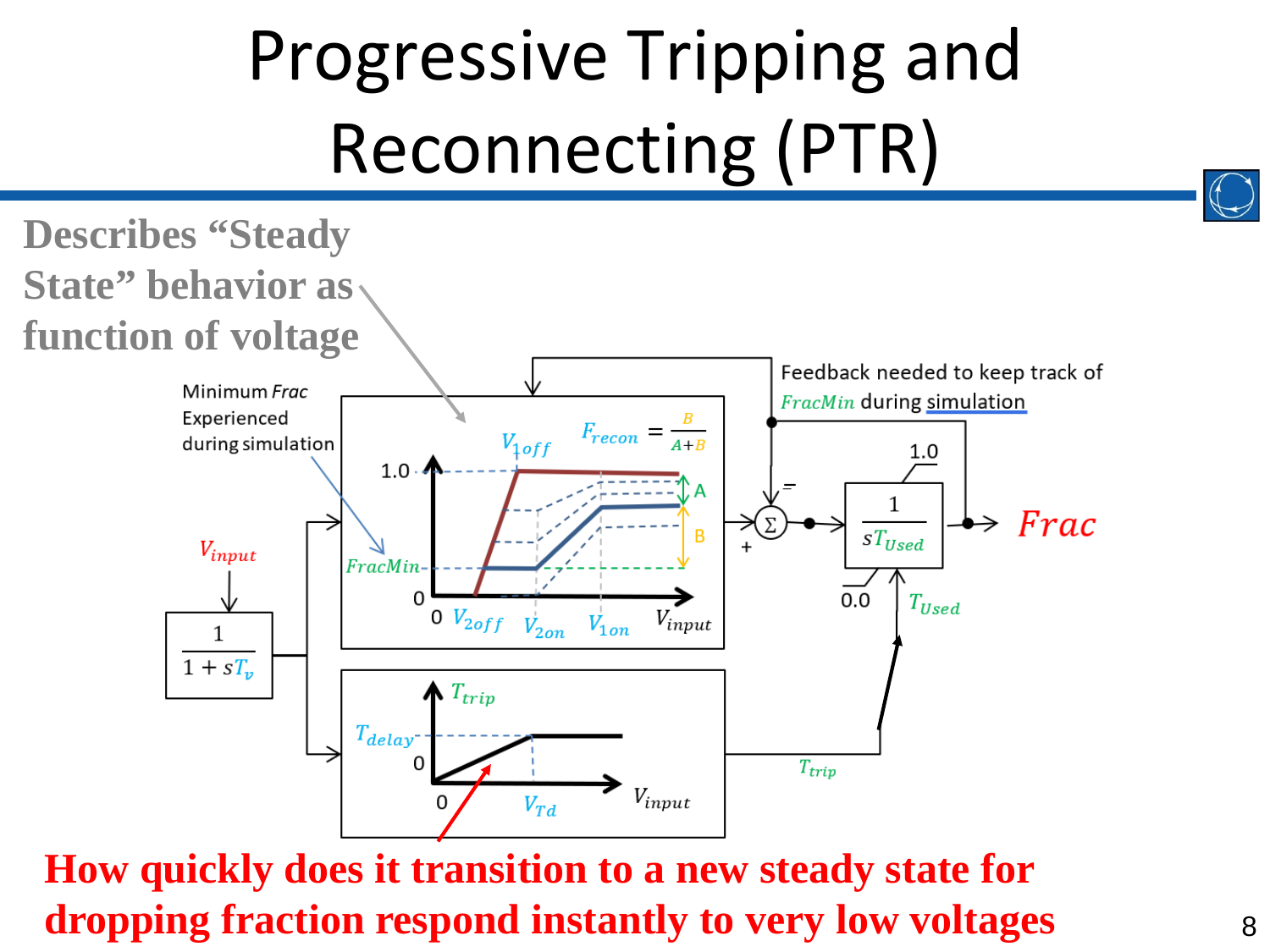

#### **How quickly does it transition to a new steady state for dropping fraction respond instantly to very low voltages**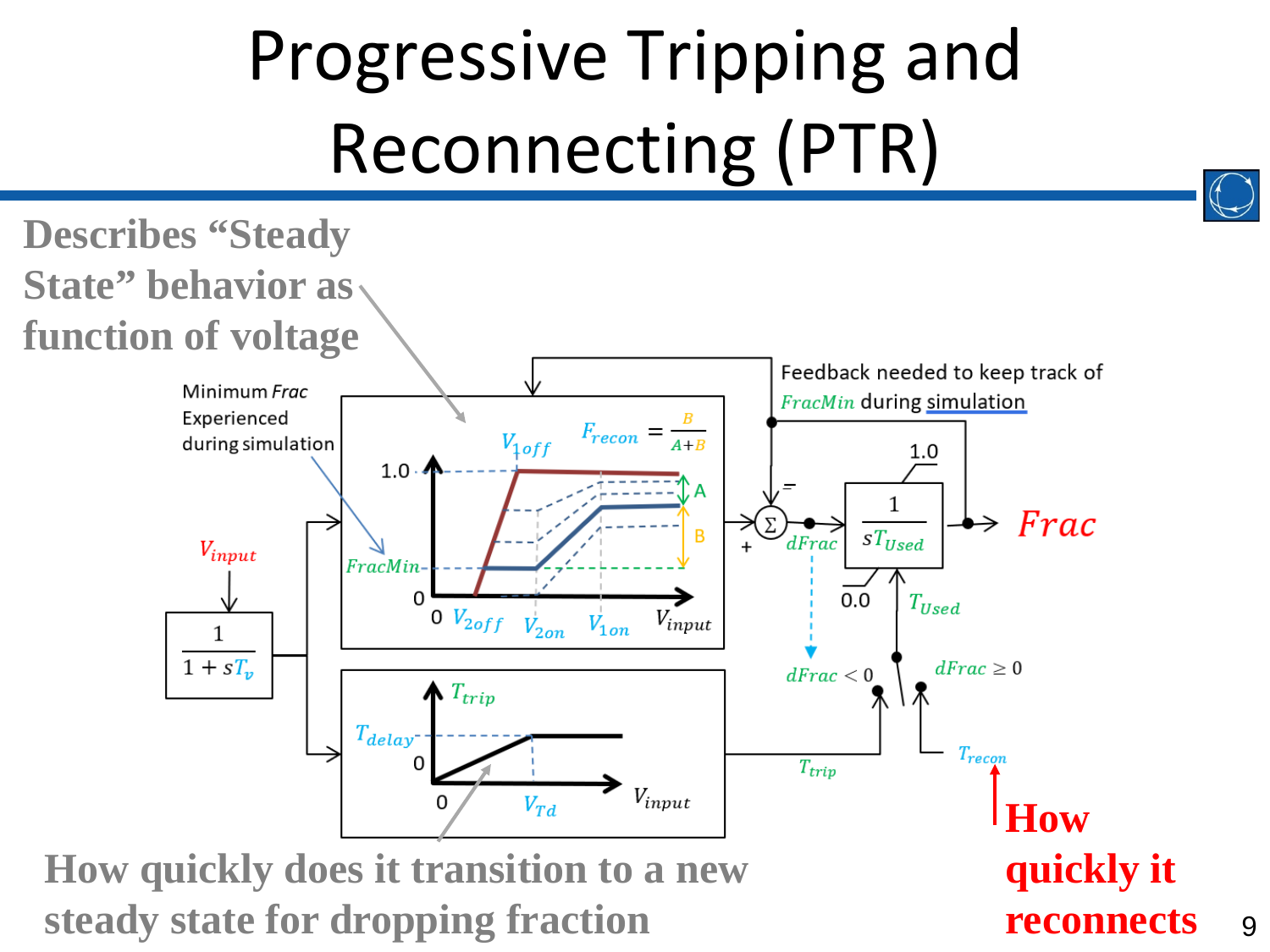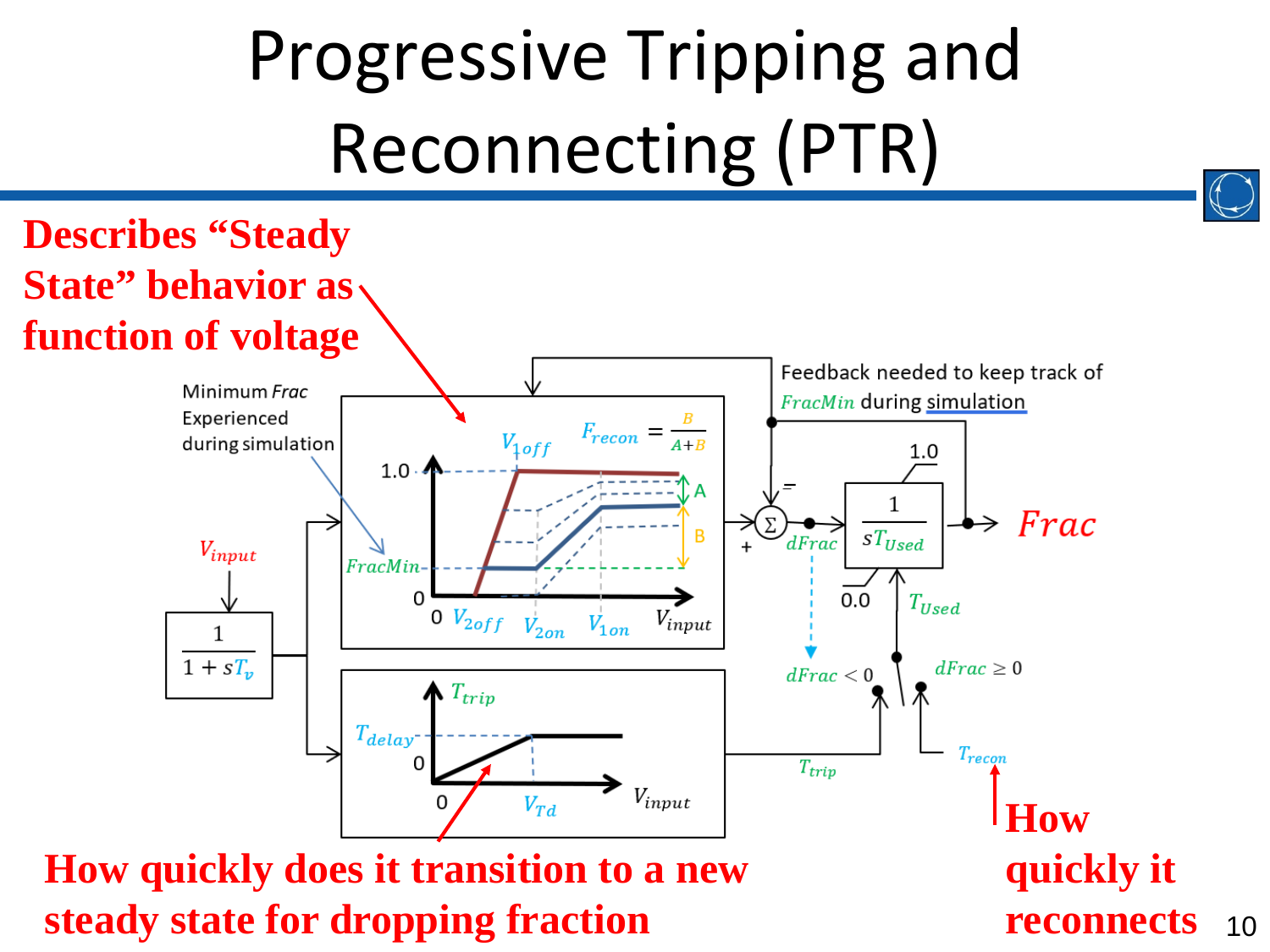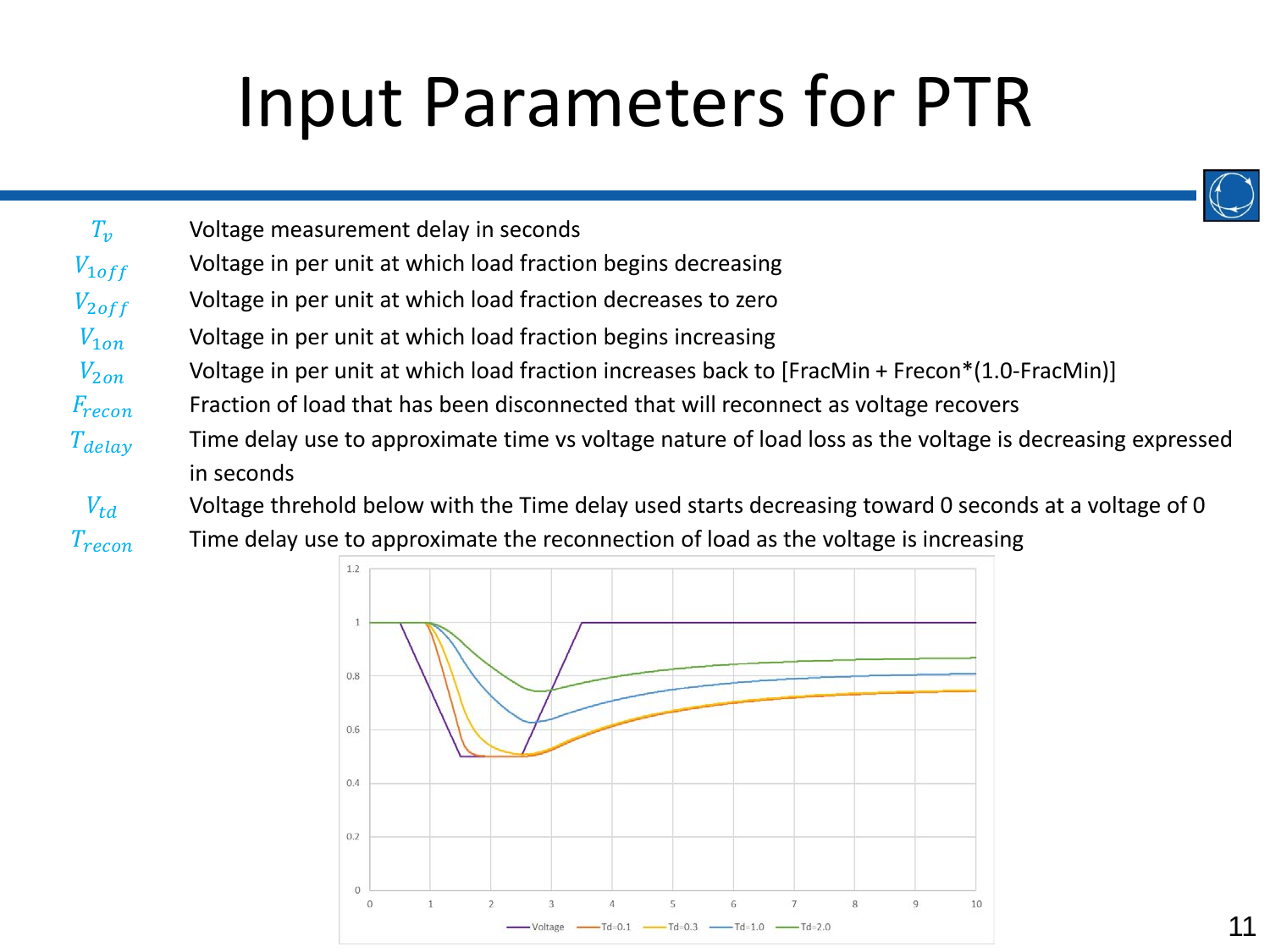#### Input Parameters for PTR



 $T_{\nu}$  Voltage measurement delay in seconds  $V_{1off}$  Voltage in per unit at which load fraction begins decreasing  $V_{2off}$  Voltage in per unit at which load fraction decreases to zero  $V_{10n}$  Voltage in per unit at which load fraction begins increasing  $V_{2\alpha n}$  Voltage in per unit at which load fraction increases back to [FracMin + Frecon\*(1.0-FracMin)]  $F_{recon}$  Fraction of load that has been disconnected that will reconnect as voltage recovers  $T_{delay}$  Time delay use to approximate time vs voltage nature of load loss as the voltage is decreasing expressed in seconds

 $V_{td}$  Voltage threhold below with the Time delay used starts decreasing toward 0 seconds at a voltage of 0  $T_{recon}$  Time delay use to approximate the reconnection of load as the voltage is increasing

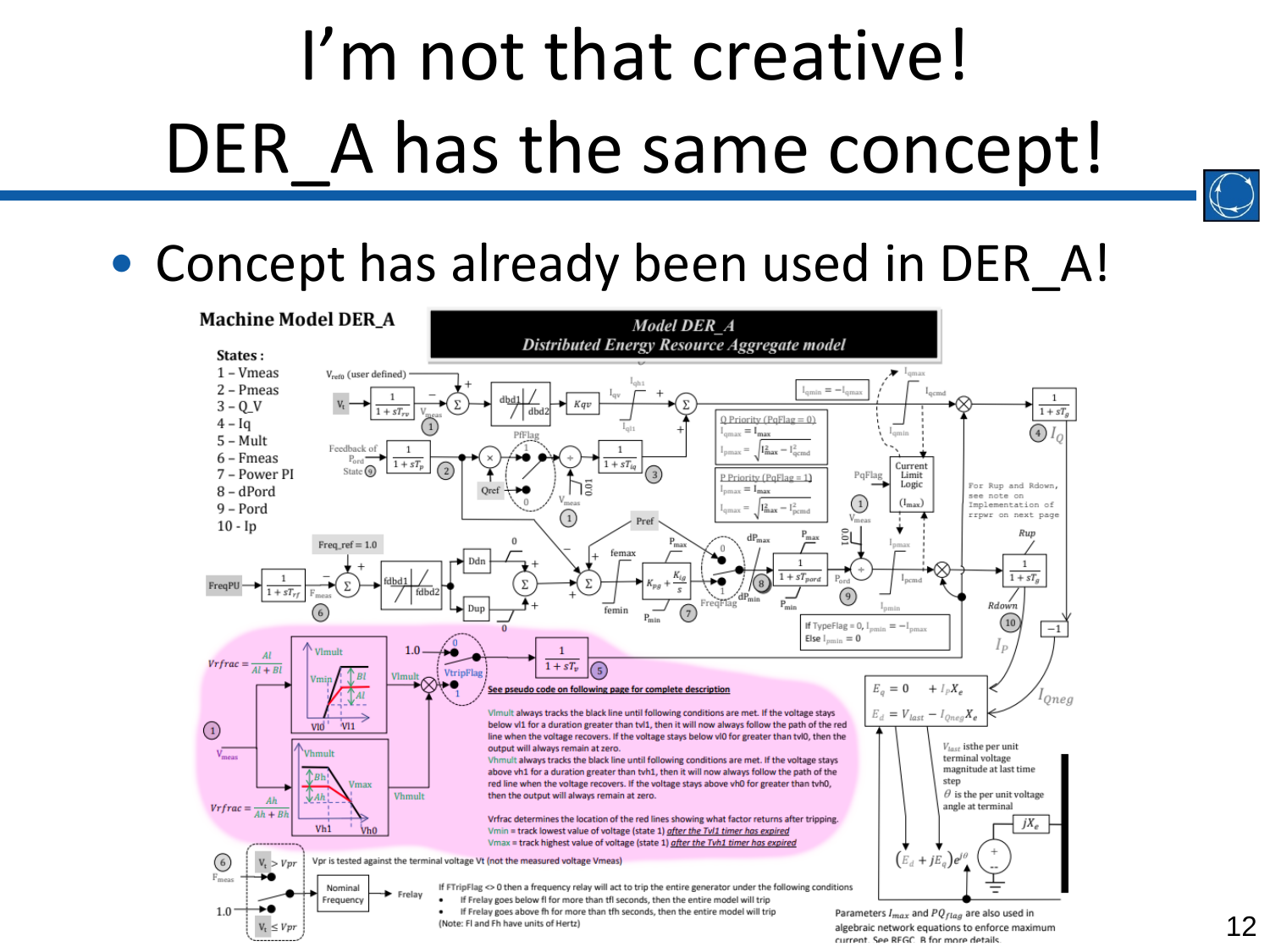# I'm not that creative! DER A has the same concept!

#### • Concept has already been used in DER A!

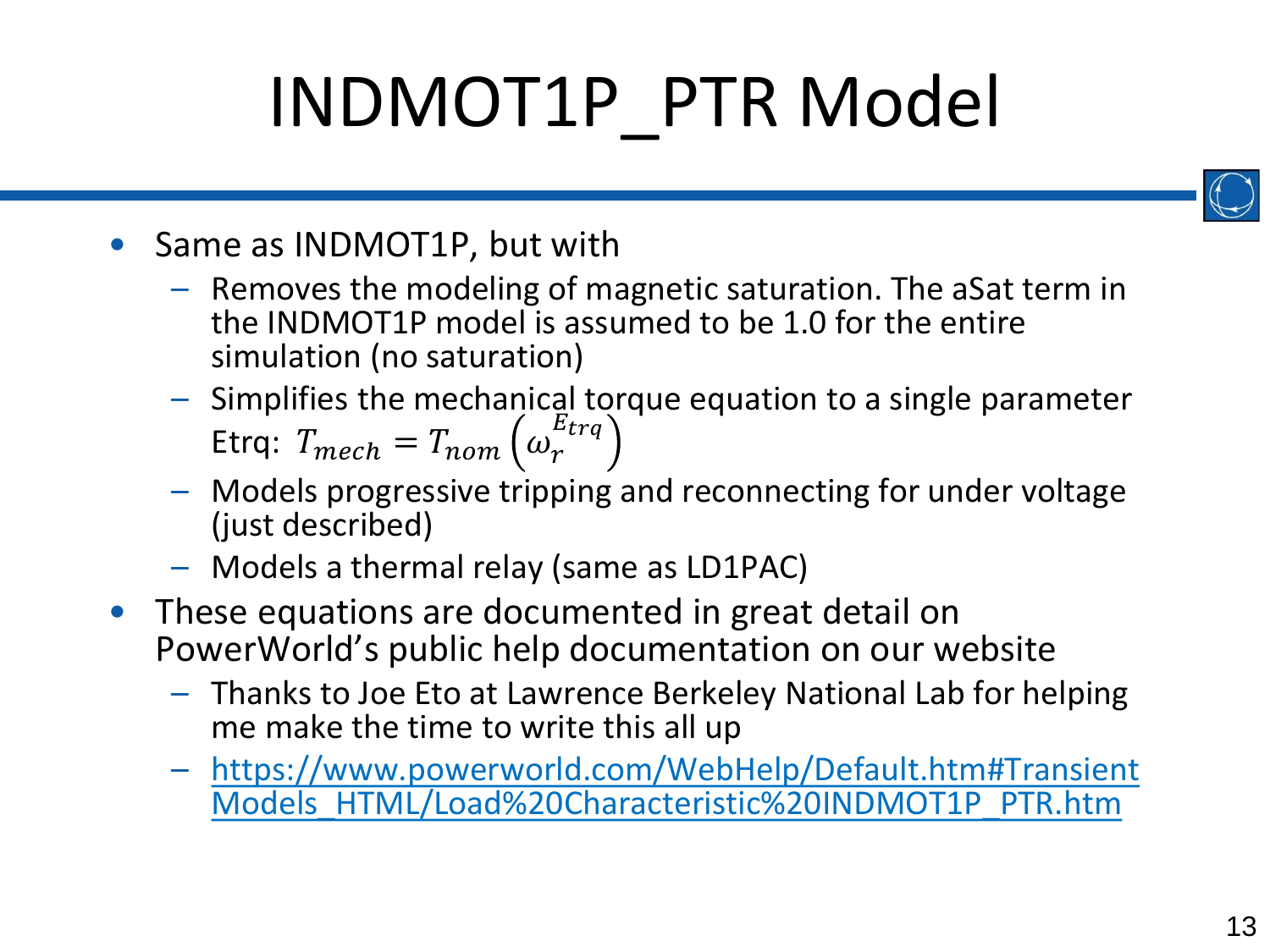## INDMOT1P\_PTR Model



- Same as INDMOT1P, but with
	- Removes the modeling of magnetic saturation. The aSat term in the INDMOT1P model is assumed to be 1.0 for the entire simulation (no saturation)
	- Simplifies the mechanical torque equation to a single parameter Etrq:  $T_{mech} = T_{nom} \left(\omega_r^{E_{trq}}\right)$
	- Models progressive tripping and reconnecting for under voltage (just described)
	- Models a thermal relay (same as LD1PAC)
- These equations are documented in great detail on PowerWorld's public help documentation on our website
	- Thanks to Joe Eto at Lawrence Berkeley National Lab for helping me make the time to write this all up
	- https://www.powerworld.com/WebHelp/Default.htm#Transient [Models\\_HTML/Load%20Characteristic%20INDMOT1P\\_PTR.htm](https://www.powerworld.com/WebHelp/Default.htm#TransientModels_HTML/Load%20Characteristic%20INDMOT1P_PTR.htm)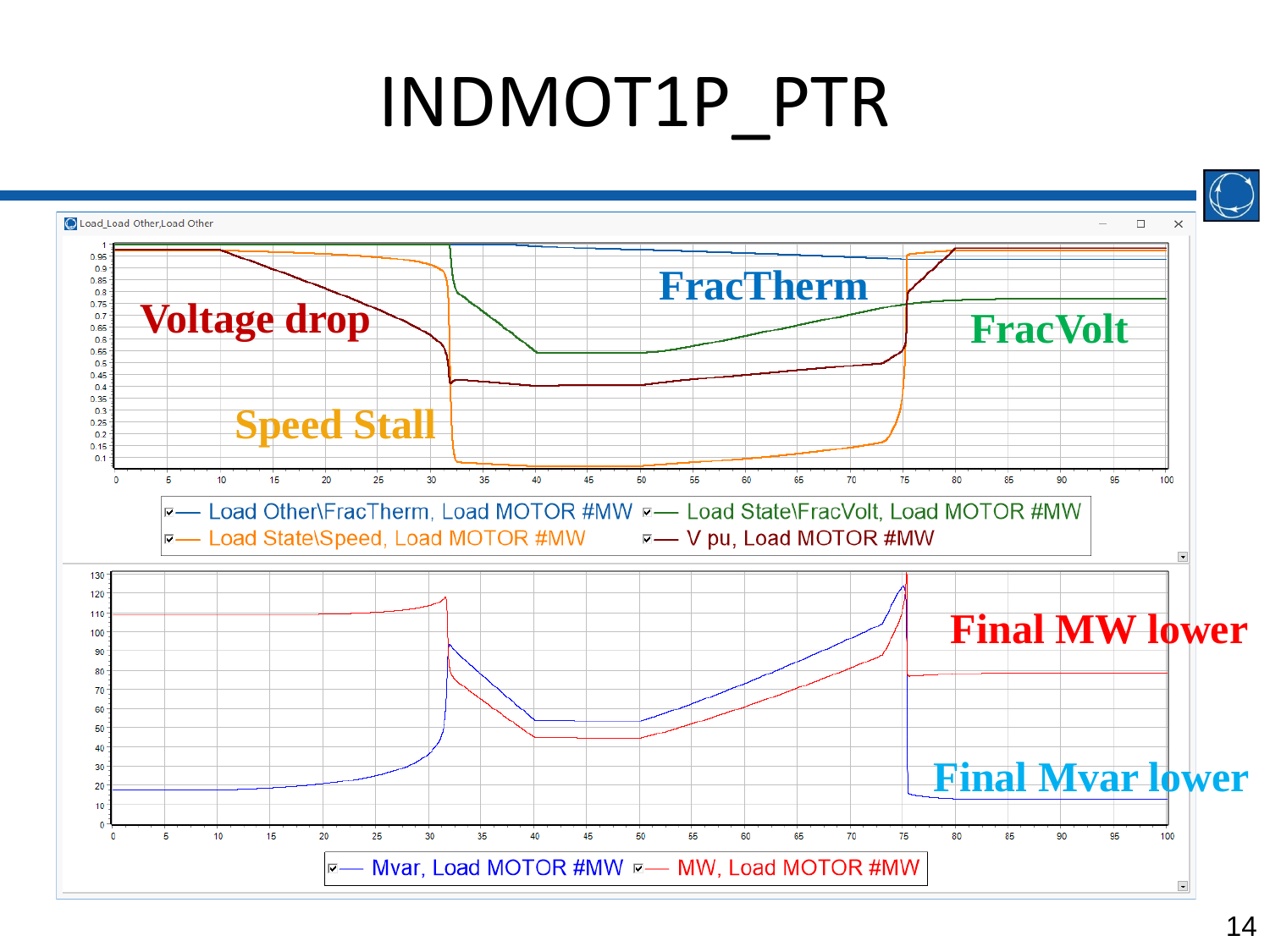#### INDMOT1P\_PTR

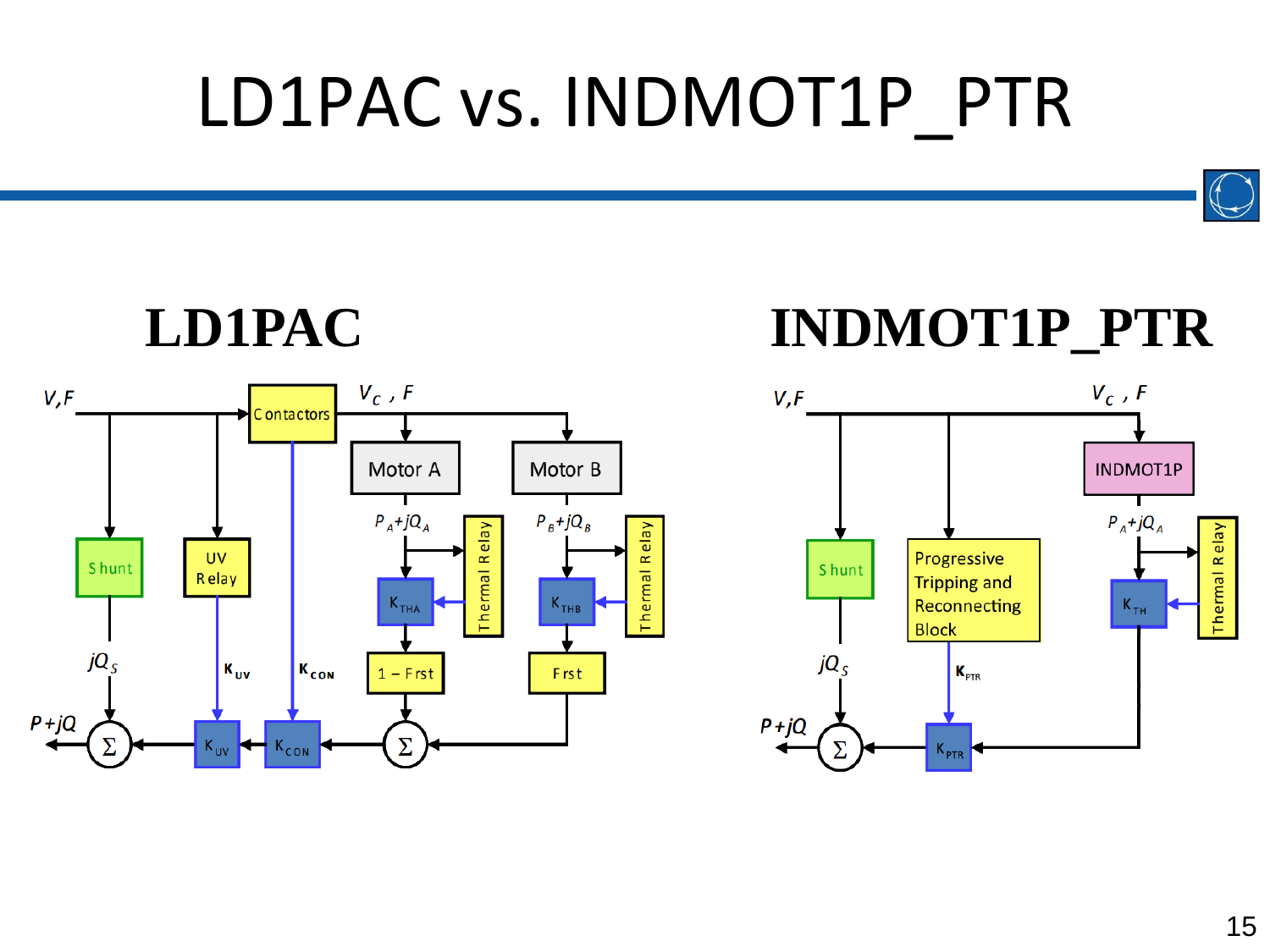#### LD1PAC vs. INDMOT1P\_PTR



**Thermal Relay** 

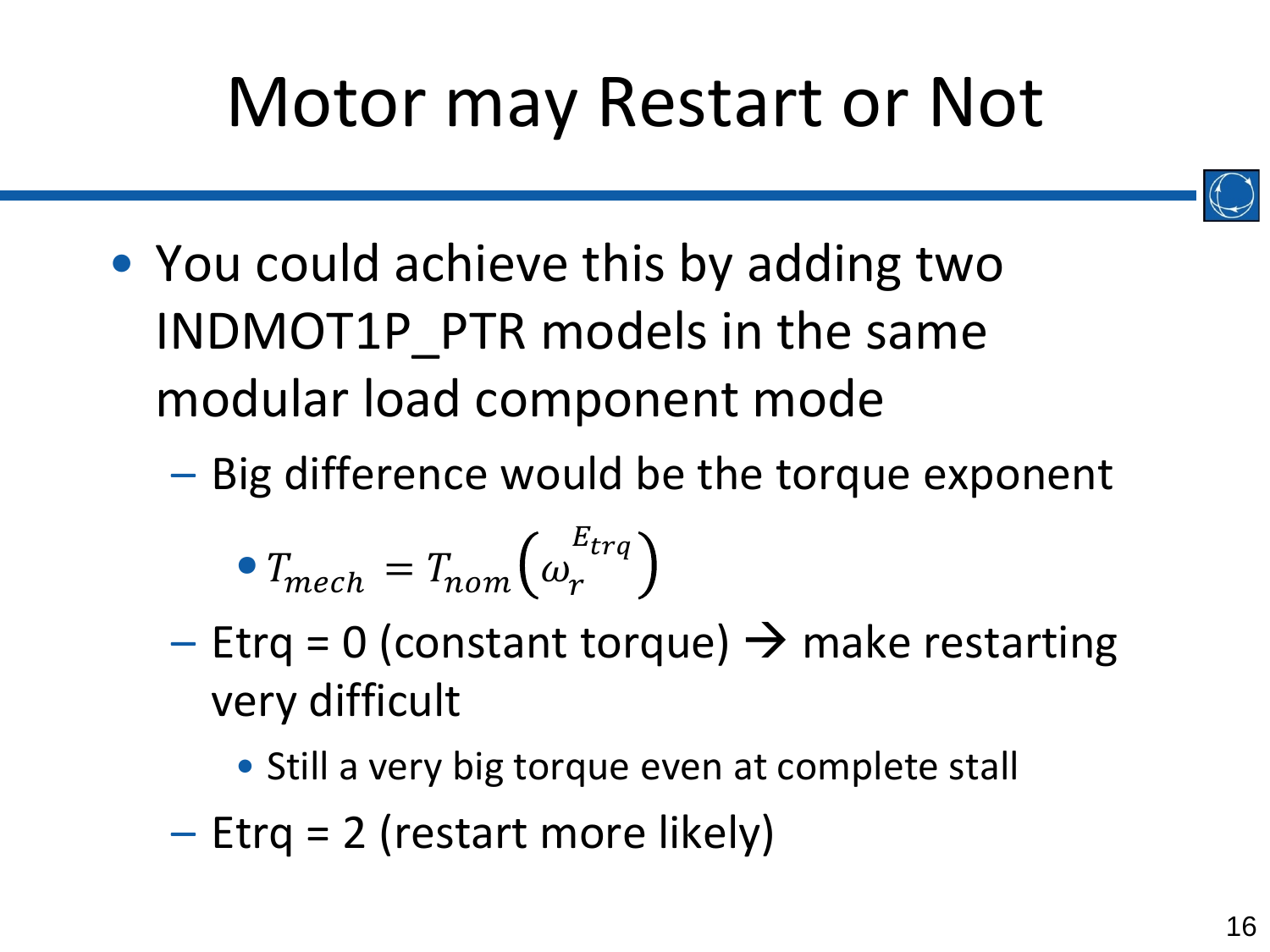#### Motor may Restart or Not



• You could achieve this by adding two INDMOT1P\_PTR models in the same modular load component mode

– Big difference would be the torque exponent

$$
\bullet T_{mech} = T_{nom} \left( \omega_r^{E_{trq}} \right)
$$

- Etrq = 0 (constant torque)  $\rightarrow$  make restarting very difficult
	- Still a very big torque even at complete stall
- Etrq = 2 (restart more likely)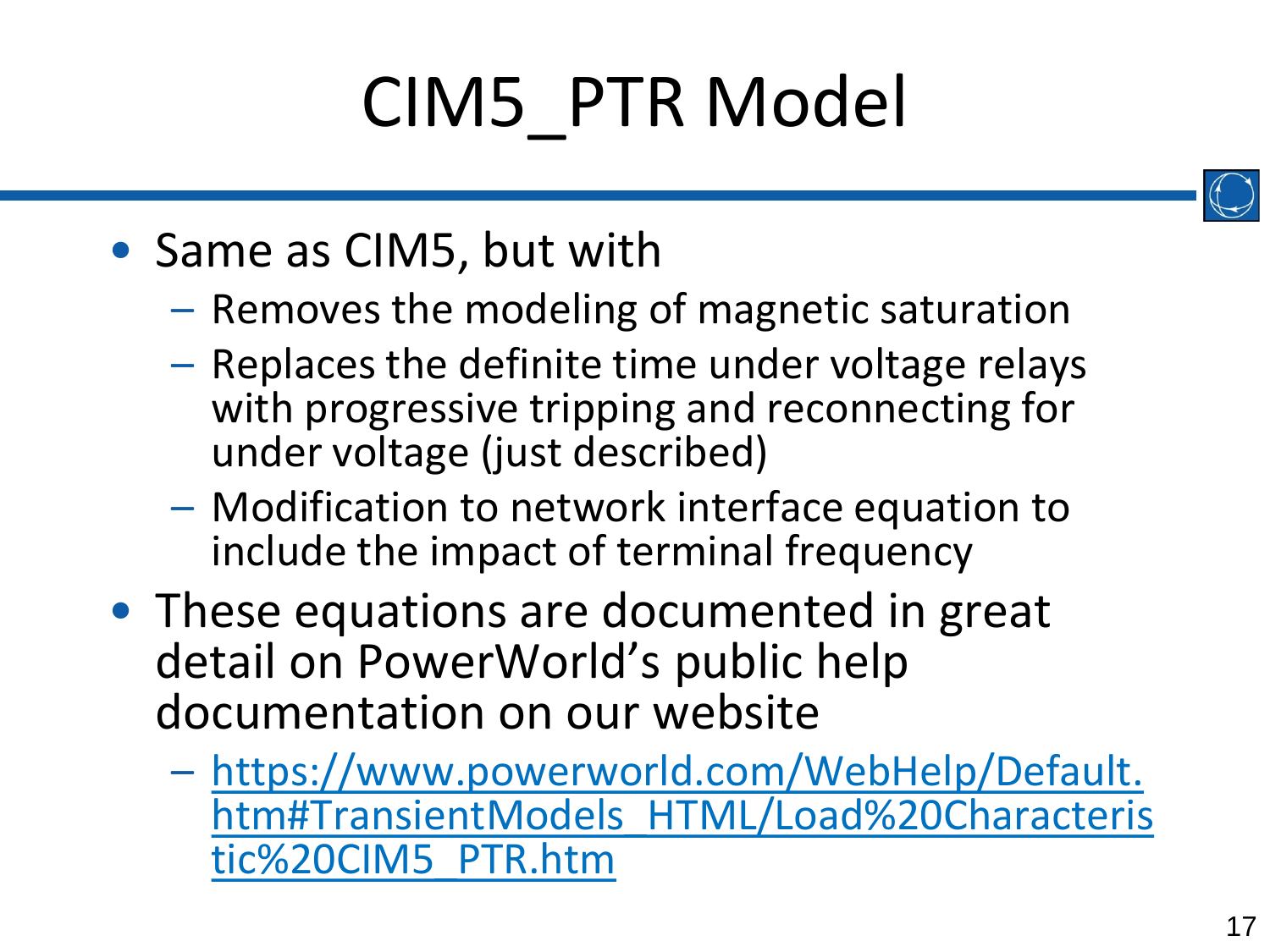# CIM5\_PTR Model



- Same as CIM5, but with
	- Removes the modeling of magnetic saturation
	- Replaces the definite time under voltage relays with progressive tripping and reconnecting for under voltage (just described)
	- Modification to network interface equation to include the impact of terminal frequency
- These equations are documented in great detail on PowerWorld's public help documentation on our website
	- https://www.powerworld.com/WebHelp/Default. [htm#TransientModels\\_HTML/Load%20Characteris](https://www.powerworld.com/WebHelp/Default.htm#TransientModels_HTML/Load%20Characteristic%20CIM5_PTR.htm) tic%20CIM5\_PTR.htm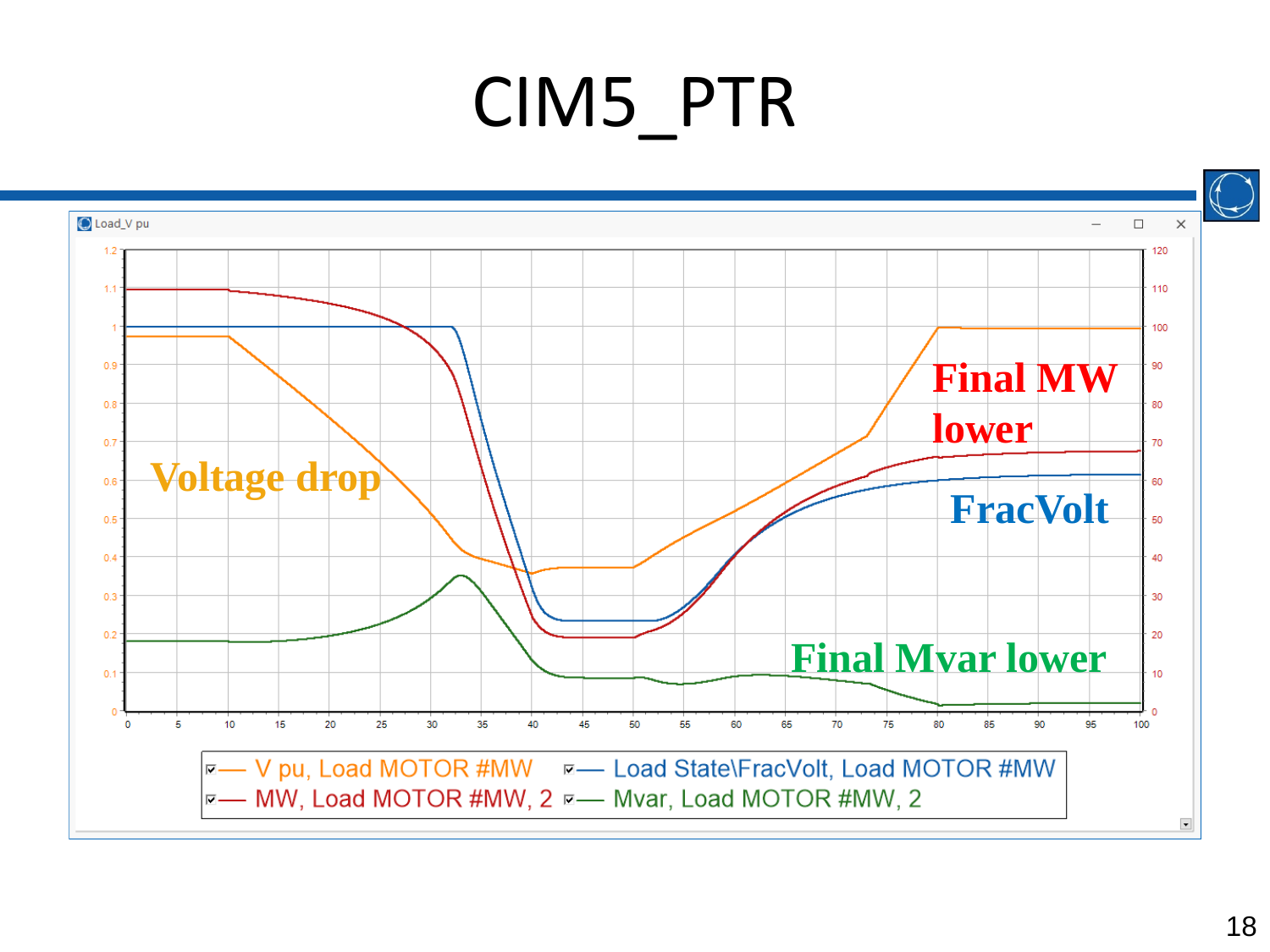#### CIM5\_PTR